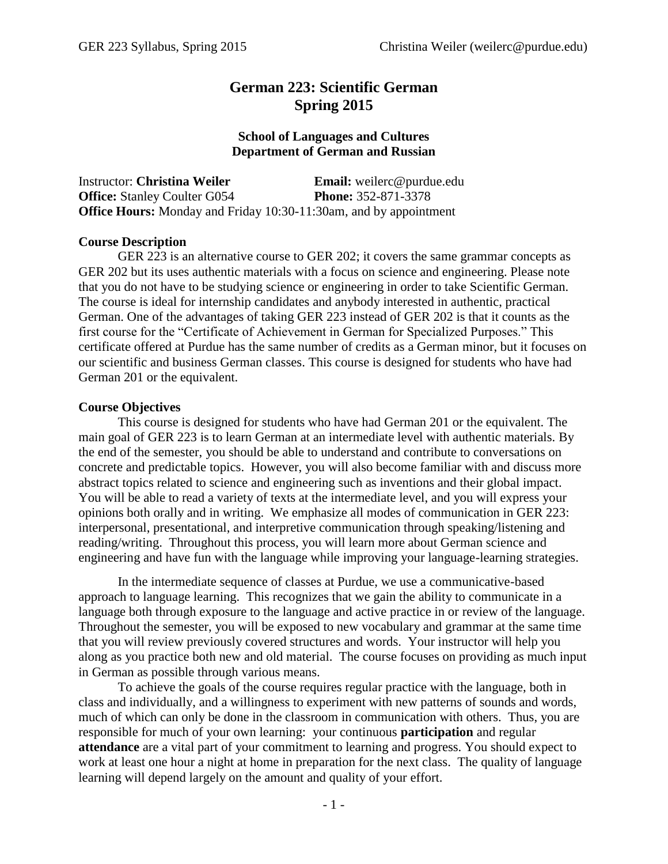# **German 223: Scientific German Spring 2015**

#### **School of Languages and Cultures Department of German and Russian**

| Instructor: <b>Christina Weiler</b> | <b>Email:</b> weilerc@purdue.edu                                         |
|-------------------------------------|--------------------------------------------------------------------------|
| <b>Office:</b> Stanley Coulter G054 | <b>Phone:</b> 352-871-3378                                               |
|                                     | <b>Office Hours:</b> Monday and Friday 10:30-11:30am, and by appointment |

#### **Course Description**

GER 223 is an alternative course to GER 202; it covers the same grammar concepts as GER 202 but its uses authentic materials with a focus on science and engineering. Please note that you do not have to be studying science or engineering in order to take Scientific German. The course is ideal for internship candidates and anybody interested in authentic, practical German. One of the advantages of taking GER 223 instead of GER 202 is that it counts as the first course for the "Certificate of Achievement in German for Specialized Purposes." This certificate offered at Purdue has the same number of credits as a German minor, but it focuses on our scientific and business German classes. This course is designed for students who have had German 201 or the equivalent.

#### **Course Objectives**

This course is designed for students who have had German 201 or the equivalent. The main goal of GER 223 is to learn German at an intermediate level with authentic materials. By the end of the semester, you should be able to understand and contribute to conversations on concrete and predictable topics. However, you will also become familiar with and discuss more abstract topics related to science and engineering such as inventions and their global impact. You will be able to read a variety of texts at the intermediate level, and you will express your opinions both orally and in writing. We emphasize all modes of communication in GER 223: interpersonal, presentational, and interpretive communication through speaking/listening and reading/writing. Throughout this process, you will learn more about German science and engineering and have fun with the language while improving your language-learning strategies.

In the intermediate sequence of classes at Purdue, we use a communicative-based approach to language learning. This recognizes that we gain the ability to communicate in a language both through exposure to the language and active practice in or review of the language. Throughout the semester, you will be exposed to new vocabulary and grammar at the same time that you will review previously covered structures and words. Your instructor will help you along as you practice both new and old material. The course focuses on providing as much input in German as possible through various means.

To achieve the goals of the course requires regular practice with the language, both in class and individually, and a willingness to experiment with new patterns of sounds and words, much of which can only be done in the classroom in communication with others. Thus, you are responsible for much of your own learning: your continuous **participation** and regular **attendance** are a vital part of your commitment to learning and progress. You should expect to work at least one hour a night at home in preparation for the next class. The quality of language learning will depend largely on the amount and quality of your effort.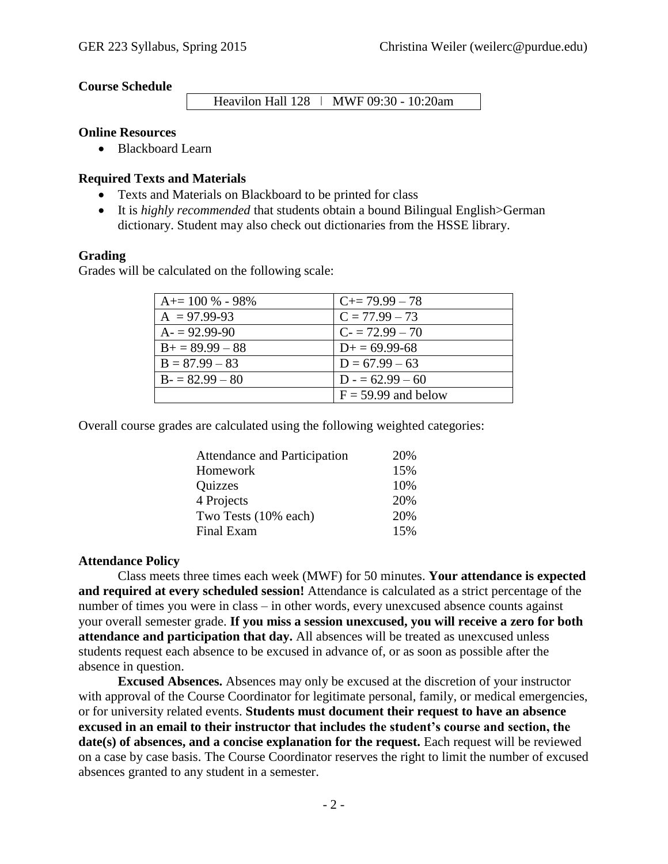#### **Course Schedule**

Heavilon Hall 128 | MWF 09:30 - 10:20am

#### **Online Resources**

• Blackboard Learn

#### **Required Texts and Materials**

- Texts and Materials on Blackboard to be printed for class
- It is *highly recommended* that students obtain a bound Bilingual English>German dictionary. Student may also check out dictionaries from the HSSE library.

#### **Grading**

Grades will be calculated on the following scale:

| $A+=100\% - 98\%$  | $C_{\pm} = 79.99 - 78$ |  |
|--------------------|------------------------|--|
| $A = 97.99-93$     | $C = 77.99 - 73$       |  |
| $A = 92.99 - 90$   | $C = 72.99 - 70$       |  |
| $B_+ = 89.99 - 88$ | $D+=69.99-68$          |  |
| $B = 87.99 - 83$   | $D = 67.99 - 63$       |  |
| $B = 82.99 - 80$   | $D = 62.99 - 60$       |  |
|                    | $F = 59.99$ and below  |  |

Overall course grades are calculated using the following weighted categories:

| Attendance and Participation | 20% |
|------------------------------|-----|
| Homework                     | 15% |
| Quizzes                      | 10% |
| 4 Projects                   | 20% |
| Two Tests (10% each)         | 20% |
| Final Exam                   | 15% |

#### **Attendance Policy**

Class meets three times each week (MWF) for 50 minutes. **Your attendance is expected and required at every scheduled session!** Attendance is calculated as a strict percentage of the number of times you were in class – in other words, every unexcused absence counts against your overall semester grade. **If you miss a session unexcused, you will receive a zero for both attendance and participation that day.** All absences will be treated as unexcused unless students request each absence to be excused in advance of, or as soon as possible after the absence in question.

**Excused Absences.** Absences may only be excused at the discretion of your instructor with approval of the Course Coordinator for legitimate personal, family, or medical emergencies, or for university related events. **Students must document their request to have an absence excused in an email to their instructor that includes the student's course and section, the date(s) of absences, and a concise explanation for the request.** Each request will be reviewed on a case by case basis. The Course Coordinator reserves the right to limit the number of excused absences granted to any student in a semester.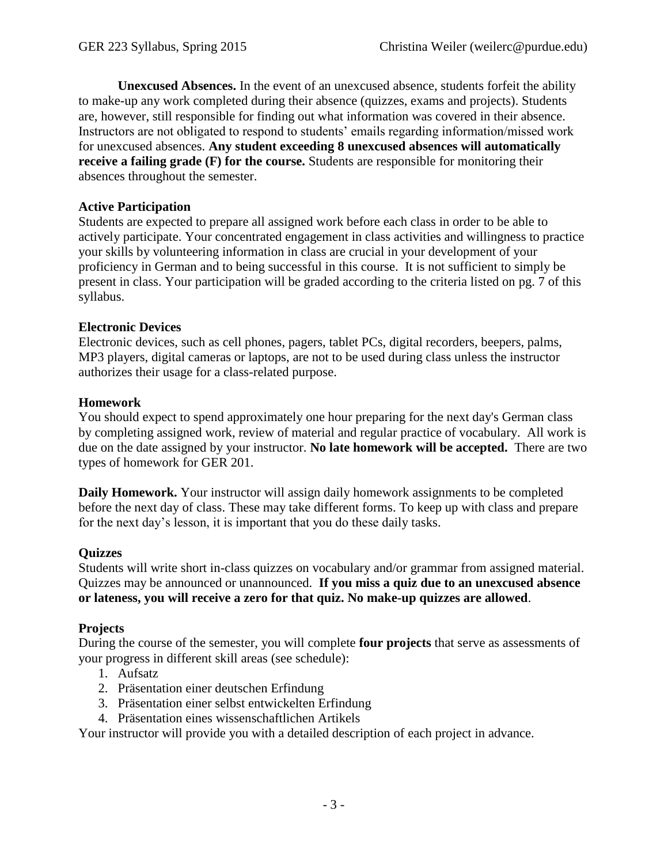**Unexcused Absences.** In the event of an unexcused absence, students forfeit the ability to make-up any work completed during their absence (quizzes, exams and projects). Students are, however, still responsible for finding out what information was covered in their absence. Instructors are not obligated to respond to students' emails regarding information/missed work for unexcused absences. **Any student exceeding 8 unexcused absences will automatically receive a failing grade (F) for the course.** Students are responsible for monitoring their absences throughout the semester.

# **Active Participation**

Students are expected to prepare all assigned work before each class in order to be able to actively participate. Your concentrated engagement in class activities and willingness to practice your skills by volunteering information in class are crucial in your development of your proficiency in German and to being successful in this course. It is not sufficient to simply be present in class. Your participation will be graded according to the criteria listed on pg. 7 of this syllabus.

# **Electronic Devices**

Electronic devices, such as cell phones, pagers, tablet PCs, digital recorders, beepers, palms, MP3 players, digital cameras or laptops, are not to be used during class unless the instructor authorizes their usage for a class-related purpose.

# **Homework**

You should expect to spend approximately one hour preparing for the next day's German class by completing assigned work, review of material and regular practice of vocabulary. All work is due on the date assigned by your instructor. **No late homework will be accepted.** There are two types of homework for GER 201.

**Daily Homework.** Your instructor will assign daily homework assignments to be completed before the next day of class. These may take different forms. To keep up with class and prepare for the next day's lesson, it is important that you do these daily tasks.

# **Quizzes**

Students will write short in-class quizzes on vocabulary and/or grammar from assigned material. Quizzes may be announced or unannounced. **If you miss a quiz due to an unexcused absence or lateness, you will receive a zero for that quiz. No make-up quizzes are allowed**.

# **Projects**

During the course of the semester, you will complete **four projects** that serve as assessments of your progress in different skill areas (see schedule):

- 1. Aufsatz
- 2. Präsentation einer deutschen Erfindung
- 3. Präsentation einer selbst entwickelten Erfindung
- 4. Präsentation eines wissenschaftlichen Artikels

Your instructor will provide you with a detailed description of each project in advance.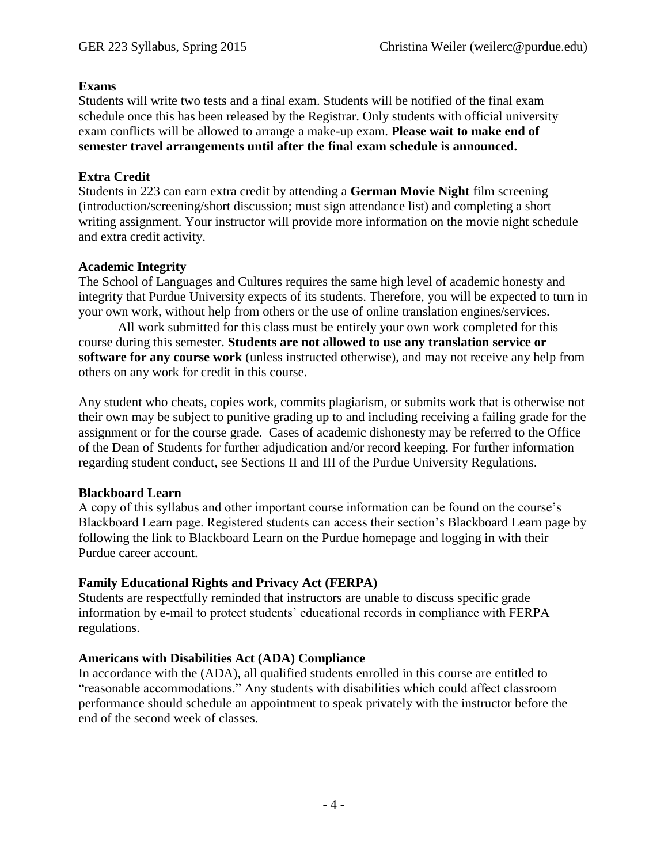# **Exams**

Students will write two tests and a final exam. Students will be notified of the final exam schedule once this has been released by the Registrar. Only students with official university exam conflicts will be allowed to arrange a make-up exam. **Please wait to make end of semester travel arrangements until after the final exam schedule is announced.** 

# **Extra Credit**

Students in 223 can earn extra credit by attending a **German Movie Night** film screening (introduction/screening/short discussion; must sign attendance list) and completing a short writing assignment. Your instructor will provide more information on the movie night schedule and extra credit activity.

# **Academic Integrity**

The School of Languages and Cultures requires the same high level of academic honesty and integrity that Purdue University expects of its students. Therefore, you will be expected to turn in your own work, without help from others or the use of online translation engines/services.

All work submitted for this class must be entirely your own work completed for this course during this semester. **Students are not allowed to use any translation service or software for any course work** (unless instructed otherwise), and may not receive any help from others on any work for credit in this course.

Any student who cheats, copies work, commits plagiarism, or submits work that is otherwise not their own may be subject to punitive grading up to and including receiving a failing grade for the assignment or for the course grade. Cases of academic dishonesty may be referred to the Office of the Dean of Students for further adjudication and/or record keeping. For further information regarding student conduct, see Sections II and III of the Purdue University Regulations.

# **Blackboard Learn**

A copy of this syllabus and other important course information can be found on the course's Blackboard Learn page. Registered students can access their section's Blackboard Learn page by following the link to Blackboard Learn on the Purdue homepage and logging in with their Purdue career account.

# **Family Educational Rights and Privacy Act (FERPA)**

Students are respectfully reminded that instructors are unable to discuss specific grade information by e-mail to protect students' educational records in compliance with FERPA regulations.

# **Americans with Disabilities Act (ADA) Compliance**

In accordance with the (ADA), all qualified students enrolled in this course are entitled to "reasonable accommodations." Any students with disabilities which could affect classroom performance should schedule an appointment to speak privately with the instructor before the end of the second week of classes.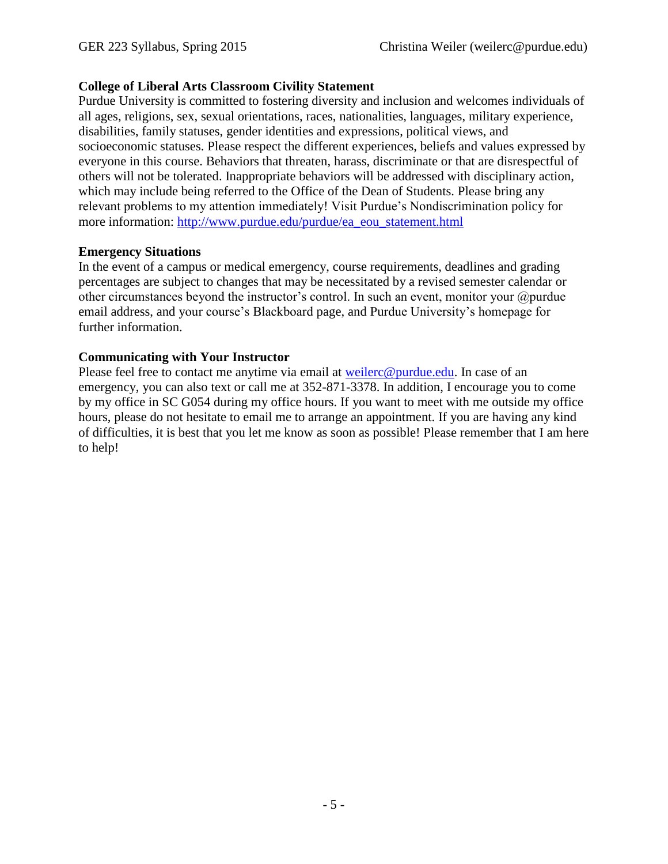# **College of Liberal Arts Classroom Civility Statement**

Purdue University is committed to fostering diversity and inclusion and welcomes individuals of all ages, religions, sex, sexual orientations, races, nationalities, languages, military experience, disabilities, family statuses, gender identities and expressions, political views, and socioeconomic statuses. Please respect the different experiences, beliefs and values expressed by everyone in this course. Behaviors that threaten, harass, discriminate or that are disrespectful of others will not be tolerated. Inappropriate behaviors will be addressed with disciplinary action, which may include being referred to the Office of the Dean of Students. Please bring any relevant problems to my attention immediately! Visit Purdue's Nondiscrimination policy for more information: [http://www.purdue.edu/purdue/ea\\_eou\\_statement.html](http://www.purdue.edu/purdue/ea_eou_statement.html)

# **Emergency Situations**

In the event of a campus or medical emergency, course requirements, deadlines and grading percentages are subject to changes that may be necessitated by a revised semester calendar or other circumstances beyond the instructor's control. In such an event, monitor your  $\omega$  purdue email address, and your course's Blackboard page, and Purdue University's homepage for further information.

# **Communicating with Your Instructor**

Please feel free to contact me anytime via email at [weilerc@purdue.edu.](mailto:weilerc@purdue.edu) In case of an emergency, you can also text or call me at 352-871-3378. In addition, I encourage you to come by my office in SC G054 during my office hours. If you want to meet with me outside my office hours, please do not hesitate to email me to arrange an appointment. If you are having any kind of difficulties, it is best that you let me know as soon as possible! Please remember that I am here to help!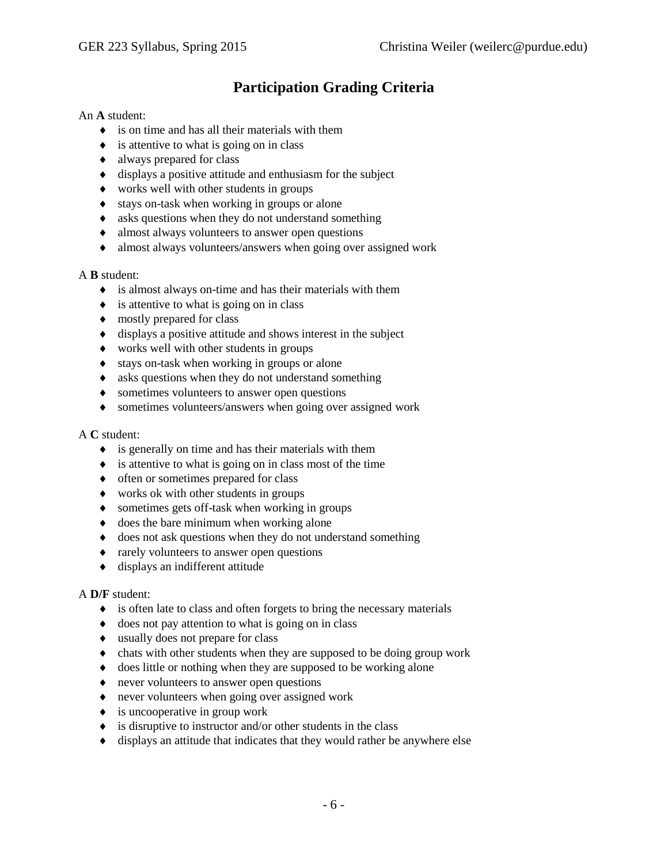# **Participation Grading Criteria**

#### An **A** student:

- is on time and has all their materials with them
- $\bullet$  is attentive to what is going on in class
- always prepared for class
- displays a positive attitude and enthusiasm for the subject
- works well with other students in groups
- $\bullet$  stays on-task when working in groups or alone
- asks questions when they do not understand something
- almost always volunteers to answer open questions
- almost always volunteers/answers when going over assigned work

#### A **B** student:

- is almost always on-time and has their materials with them
- $\bullet$  is attentive to what is going on in class
- $\bullet$  mostly prepared for class
- $\bullet$  displays a positive attitude and shows interest in the subject
- works well with other students in groups
- stays on-task when working in groups or alone
- asks questions when they do not understand something
- $\bullet$  sometimes volunteers to answer open questions
- sometimes volunteers/answers when going over assigned work

#### A **C** student:

- $\bullet$  is generally on time and has their materials with them
- $\bullet$  is attentive to what is going on in class most of the time
- $\bullet$  often or sometimes prepared for class
- works ok with other students in groups
- sometimes gets off-task when working in groups
- $\bullet$  does the bare minimum when working alone
- $\bullet$  does not ask questions when they do not understand something
- rarely volunteers to answer open questions
- displays an indifferent attitude

#### A **D/F** student:

- $\bullet$  is often late to class and often forgets to bring the necessary materials
- $\bullet$  does not pay attention to what is going on in class
- usually does not prepare for class
- chats with other students when they are supposed to be doing group work
- does little or nothing when they are supposed to be working alone
- never volunteers to answer open questions
- never volunteers when going over assigned work
- $\bullet$  is uncooperative in group work
- $\bullet$  is disruptive to instructor and/or other students in the class
- displays an attitude that indicates that they would rather be anywhere else